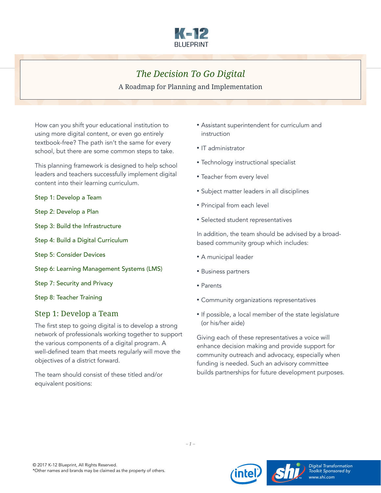

# *The Decision To Go Digital*

A Roadmap for Planning and Implementation

How can you shift your educational institution to using more digital content, or even go entirely textbook-free? The path isn't the same for every school, but there are some common steps to take.

This planning framework is designed to help school leaders and teachers successfully implement digital content into their learning curriculum.

Step 1: Develop a Team

- [Step 2: Develop a Plan](#page-1-0)
- [Step 3: Build the Infrastructure](#page-1-0)
- [Step 4: Build a Digital Curriculum](#page-2-0)
- [Step 5: Consider Devices](#page-3-0)
- [Step 6: Learning Management Systems \(LMS\)](#page-4-0)
- [Step 7: Security and Privacy](#page-6-0)
- [Step 8: Teacher Training](#page-7-0)

## Step 1: Develop a Team

The first step to going digital is to develop a strong network of professionals working together to support the various components of a digital program. A well-defined team that meets regularly will move the objectives of a district forward.

The team should consist of these titled and/or equivalent positions:

- Assistant superintendent for curriculum and instruction
- IT administrator
- Technology instructional specialist
- Teacher from every level
- Subject matter leaders in all disciplines
- Principal from each level
- Selected student representatives

In addition, the team should be advised by a broadbased community group which includes:

- A municipal leader
- Business partners
- Parents
- Community organizations representatives
- If possible, a local member of the state legislature (or his/her aide)

Giving each of these representatives a voice will enhance decision making and provide support for community outreach and advocacy, especially when funding is needed. Such an advisory committee builds partnerships for future development purposes.

*– 1 –*

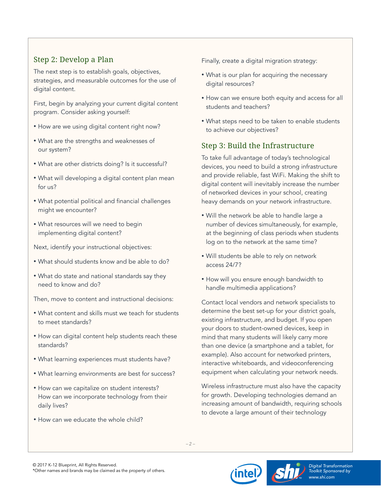## <span id="page-1-0"></span>Step 2: Develop a Plan

The next step is to establish goals, objectives, strategies, and measurable outcomes for the use of digital content.

First, begin by analyzing your current digital content program. Consider asking yourself:

- How are we using digital content right now?
- What are the strengths and weaknesses of our system?
- What are other districts doing? Is it successful?
- What will developing a digital content plan mean for us?
- What potential political and financial challenges might we encounter?
- What resources will we need to begin implementing digital content?

Next, identify your instructional objectives:

- What should students know and be able to do?
- What do state and national standards say they need to know and do?

Then, move to content and instructional decisions:

- What content and skills must we teach for students to meet standards?
- How can digital content help students reach these standards?
- What learning experiences must students have?
- What learning environments are best for success?
- How can we capitalize on student interests? How can we incorporate technology from their daily lives?
- How can we educate the whole child?

Finally, create a digital migration strategy:

- What is our plan for acquiring the necessary digital resources?
- How can we ensure both equity and access for all students and teachers?
- What steps need to be taken to enable students to achieve our objectives?

## Step 3: Build the Infrastructure

To take full advantage of today's technological devices, you need to build a strong infrastructure and provide reliable, fast WiFi. Making the shift to digital content will inevitably increase the number of networked devices in your school, creating heavy demands on your network infrastructure.

- Will the network be able to handle large a number of devices simultaneously, for example, at the beginning of class periods when students log on to the network at the same time?
- Will students be able to rely on network access 24/7?
- How will you ensure enough bandwidth to handle multimedia applications?

Contact local vendors and network specialists to determine the best set-up for your district goals, existing infrastructure, and budget. If you open your doors to student-owned devices, keep in mind that many students will likely carry more than one device (a smartphone and a tablet, for example). Also account for networked printers, interactive whiteboards, and videoconferencing equipment when calculating your network needs.

Wireless infrastructure must also have the capacity for growth. Developing technologies demand an increasing amount of bandwidth, requiring schools to devote a large amount of their technology





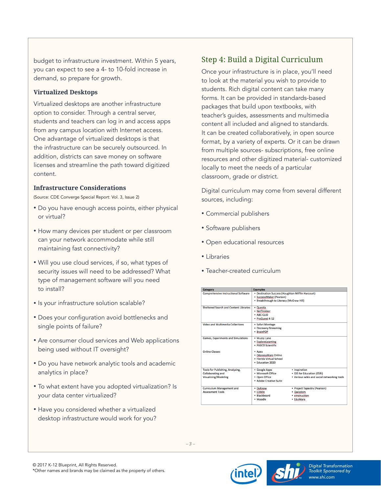<span id="page-2-0"></span>budget to infrastructure investment. Within 5 years, you can expect to see a 4- to 10-fold increase in demand, so prepare for growth.

#### **Virtualized Desktops**

Virtualized desktops are another infrastructure option to consider. Through a central server, students and teachers can log in and access apps from any campus location with Internet access. One advantage of virtualized desktops is that the infrastructure can be securely outsourced. In addition, districts can save money on software licenses and streamline the path toward digitized content.

#### **Infrastructure Considerations**

(Source: CDE Converge Special Report: Vol. 3, Issue 2)

- Do you have enough access points, either physical or virtual?
- How many devices per student or per classroom can your network accommodate while still maintaining fast connectivity?
- Will you use cloud services, if so, what types of security issues will need to be addressed? What type of management software will you need to install?
- Is your infrastructure solution scalable?
- Does your configuration avoid bottlenecks and single points of failure?
- Are consumer cloud services and Web applications being used without IT oversight?
- Do you have network analytic tools and academic analytics in place?
- To what extent have you adopted virtualization? Is your data center virtualized?
- Have you considered whether a virtualized desktop infrastructure would work for you?

## Step 4: Build a Digital Curriculum

Once your infrastructure is in place, you'll need to look at the material you wish to provide to students. Rich digital content can take many forms. It can be provided in standards-based packages that build upon textbooks, with teacher's guides, assessments and multimedia content all included and aligned to standards. It can be created collaboratively, in open source format, by a variety of experts. Or it can be drawn from multiple sources- subscriptions, free online resources and other digitized material- customized locally to meet the needs of a particular classroom, grade or district.

Digital curriculum may come from several different sources, including:

- Commercial publishers
- Software publishers
- Open educational resources
- Libraries
- Teacher-created curriculum

| <b>Category</b>                             | <b>Examples</b>                                                                                                           |                                             |
|---------------------------------------------|---------------------------------------------------------------------------------------------------------------------------|---------------------------------------------|
| <b>Comprehensive Instructional Software</b> | • Destination Success (Houghton Mifflin Harcourt)<br>· SuccessMaker (Pearson)<br>• Breakthrough to Literacy (McGraw Hill) |                                             |
| Sheltered Search and Content Libraries      | · Questia<br>• NetTrekker<br>· ABC-CLIO<br>• ProQuest K-12                                                                |                                             |
| Video and Multimedia Collections            | · Safari Montage<br>• Discovery Streaming<br>• BrainPOP                                                                   |                                             |
| <b>Games, Experiments and Simulations</b>   | · Muzzy Lane<br>· ExploreLearning<br>· PASCO Scientific                                                                   |                                             |
| <b>Online Classes</b>                       | • Apex<br>• OdysseyWare Online<br>· Elorida Virtual School<br>· Education 2020                                            |                                             |
| Tools for Publishing, Analyzing,            | · Google Apps                                                                                                             | · Inspiration                               |
| <b>Collaborating and</b>                    | · Microsoft Office                                                                                                        | • GIS for Education (ESRI)                  |
| <b>Visualizing/Modeling</b>                 | • Open Office<br>· Adobe Creative Suite                                                                                   | . Various wikis and social networking tools |
| <b>Curriculum Management and</b>            | • DyKnow                                                                                                                  | • Project Tapestry (Pearson)                |
| <b>Assessment Tools</b>                     | • EDMin                                                                                                                   | • Qwizdom                                   |
|                                             | · Blackboard                                                                                                              | • einstruction                              |
|                                             | • Moodle                                                                                                                  | • EduWare                                   |

*– 3 –*



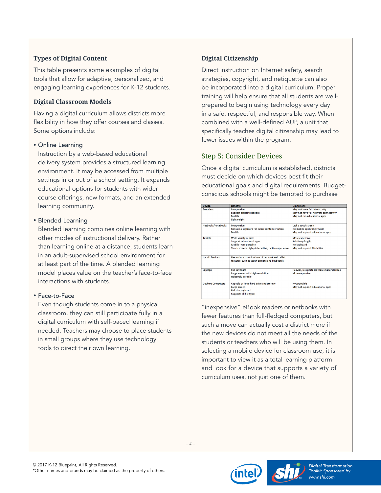### <span id="page-3-0"></span>**Types of Digital Content**

This table presents some examples of digital tools that allow for adaptive, personalized, and engaging learning experiences for K-12 students.

#### **Digital Classroom Models**

Having a digital curriculum allows districts more flexibility in how they offer courses and classes. Some options include:

#### • Online Learning

Instruction by a web-based educational delivery system provides a structured learning environment. It may be accessed from multiple settings in or out of a school setting. It expands educational options for students with wider course offerings, new formats, and an extended learning community.

#### • Blended Learning

Blended learning combines online learning with other modes of instructional delivery. Rather than learning online at a distance, students learn in an adult-supervised school environment for at least part of the time. A blended learning model places value on the teacher's face-to-face interactions with students.

### • Face-to-Face

Even though students come in to a physical classroom, they can still participate fully in a digital curriculum with self-paced learning if needed. Teachers may choose to place students in small groups where they use technology tools to direct their own learning.

### **Digital Citizenship**

Direct instruction on Internet safety, search strategies, copyright, and netiquette can also be incorporated into a digital curriculum. Proper training will help ensure that all students are wellprepared to begin using technology every day in a safe, respectful, and responsible way. When combined with a well-defined AUP, a unit that specifically teaches digital citizenship may lead to fewer issues within the program.

## Step 5: Consider Devices

Once a digital curriculum is established, districts must decide on which devices best fit their educational goals and digital requirements. Budgetconscious schools might be tempted to purchase

| <b>Device</b>                                                | <b>Benefits</b>                                                                                 | <b>Limitations</b>                          |
|--------------------------------------------------------------|-------------------------------------------------------------------------------------------------|---------------------------------------------|
| <b>E-readers</b>                                             | Inexpensive                                                                                     | May not have full interactivity             |
|                                                              | <b>Support digital textbooks</b>                                                                | May not have full network connectivity      |
|                                                              | Mobile                                                                                          | May not run educational apps                |
|                                                              | Lightweight                                                                                     |                                             |
| Netbooks/notebooks                                           | Inexpensive                                                                                     | Lack a touchscreen                          |
|                                                              | Contain a keyboard for easier content creation                                                  | No mobile operating system                  |
|                                                              | Mobile                                                                                          | May not support educational apps            |
| <b>Tablets</b>                                               | Wide variety of sizes                                                                           | More expensive                              |
|                                                              | Support educational apps                                                                        | <b>Relatively fragile</b>                   |
|                                                              | Mobile- very portable                                                                           | No keyboard                                 |
|                                                              | Touch screens highly interactive, tactile experience                                            | May not support Flash files                 |
| <b>Hybrid Devices</b>                                        | Use various combinations of nethook and tablet<br>features, such as touch-screens and keyboards |                                             |
| <b>Full keyboard</b><br>Laptops<br><b>Relatively durable</b> |                                                                                                 | Heavier, less portable than smaller devices |
|                                                              | Large screen with high resolution                                                               | More expensive                              |
|                                                              |                                                                                                 |                                             |
| <b>Desktop Computers</b>                                     | Capable of large hard drive and storage                                                         | Not portable                                |
|                                                              | Large screen                                                                                    | May not support educational apps            |
|                                                              | Full size keyboard                                                                              |                                             |
|                                                              | Supports all file types                                                                         |                                             |

"inexpensive" eBook readers or netbooks with fewer features than full-fledged computers, but such a move can actually cost a district more if the new devices do not meet all the needs of the students or teachers who will be using them. In selecting a mobile device for classroom use, it is important to view it as a total learning platform and look for a device that supports a variety of curriculum uses, not just one of them.





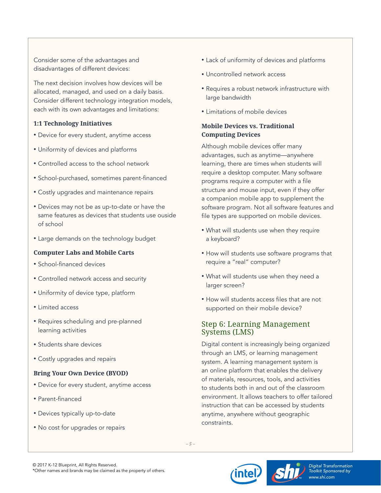<span id="page-4-0"></span>Consider some of the advantages and disadvantages of different devices:

The next decision involves how devices will be allocated, managed, and used on a daily basis. Consider different technology integration models, each with its own advantages and limitations:

#### **1:1 Technology Initiatives**

- Device for every student, anytime access
- Uniformity of devices and platforms
- Controlled access to the school network
- School-purchased, sometimes parent-financed
- Costly upgrades and maintenance repairs
- Devices may not be as up-to-date or have the same features as devices that students use ouside of school
- Large demands on the technology budget

#### **Computer Labs and Mobile Carts**

- School-financed devices
- Controlled network access and security
- Uniformity of device type, platform
- Limited access
- Requires scheduling and pre-planned learning activities
- Students share devices
- Costly upgrades and repairs

#### **Bring Your Own Device (BYOD)**

- Device for every student, anytime access
- Parent-financed
- Devices typically up-to-date
- No cost for upgrades or repairs
- Lack of uniformity of devices and platforms
- Uncontrolled network access
- Requires a robust network infrastructure with large bandwidth
- Limitations of mobile devices

#### **Mobile Devices vs. Traditional Computing Devices**

Although mobile devices offer many advantages, such as anytime—anywhere learning, there are times when students will require a desktop computer. Many software programs require a computer with a file structure and mouse input, even if they offer a companion mobile app to supplement the software program. Not all software features and file types are supported on mobile devices.

- What will students use when they require a keyboard?
- How will students use software programs that require a "real" computer?
- What will students use when they need a larger screen?
- How will students access files that are not supported on their mobile device?

### Step 6: Learning Management Systems (LMS)

Digital content is increasingly being organized through an LMS, or learning management system. A learning management system is an online platform that enables the delivery of materials, resources, tools, and activities to students both in and out of the classroom environment. It allows teachers to offer tailored instruction that can be accessed by students anytime, anywhere without geographic constraints.





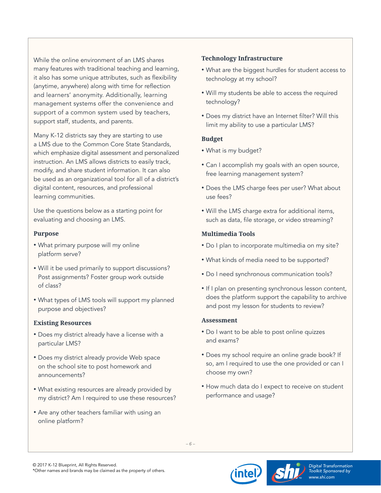While the online environment of an LMS shares many features with traditional teaching and learning, it also has some unique attributes, such as flexibility (anytime, anywhere) along with time for reflection and learners' anonymity. Additionally, learning management systems offer the convenience and support of a common system used by teachers, support staff, students, and parents.

Many K-12 districts say they are starting to use a LMS due to the Common Core State Standards, which emphasize digital assessment and personalized instruction. An LMS allows districts to easily track, modify, and share student information. It can also be used as an organizational tool for all of a district's digital content, resources, and professional learning communities.

Use the questions below as a starting point for evaluating and choosing an LMS.

#### **Purpose**

- What primary purpose will my online platform serve?
- Will it be used primarily to support discussions? Post assignments? Foster group work outside of class?
- What types of LMS tools will support my planned purpose and objectives?

#### **Existing Resources**

- Does my district already have a license with a particular LMS?
- Does my district already provide Web space on the school site to post homework and announcements?
- What existing resources are already provided by my district? Am I required to use these resources?
- Are any other teachers familiar with using an online platform?

#### **Technology Infrastructure**

- What are the biggest hurdles for student access to technology at my school?
- Will my students be able to access the required technology?
- Does my district have an Internet filter? Will this limit my ability to use a particular LMS?

#### **Budget**

- What is my budget?
- Can I accomplish my goals with an open source, free learning management system?
- Does the LMS charge fees per user? What about use fees?
- Will the LMS charge extra for additional items, such as data, file storage, or video streaming?

#### **Multimedia Tools**

- Do I plan to incorporate multimedia on my site?
- What kinds of media need to be supported?
- Do I need synchronous communication tools?
- If I plan on presenting synchronous lesson content, does the platform support the capability to archive and post my lesson for students to review?

#### **Assessment**

- Do I want to be able to post online quizzes and exams?
- Does my school require an online grade book? If so, am I required to use the one provided or can I choose my own?
- How much data do I expect to receive on student performance and usage?





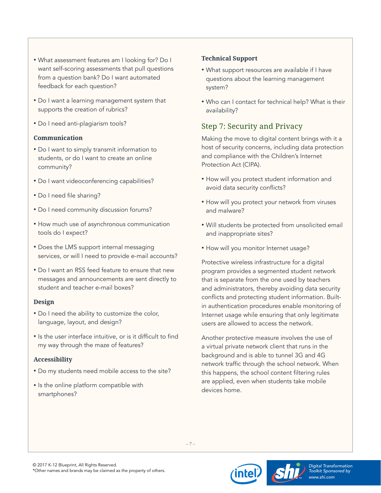- <span id="page-6-0"></span>• What assessment features am I looking for? Do I want self-scoring assessments that pull questions from a question bank? Do I want automated feedback for each question?
- Do I want a learning management system that supports the creation of rubrics?
- Do I need anti-plagiarism tools?

#### **Communication**

- Do I want to simply transmit information to students, or do I want to create an online community?
- Do I want videoconferencing capabilities?
- Do I need file sharing?
- Do I need community discussion forums?
- How much use of asynchronous communication tools do I expect?
- Does the LMS support internal messaging services, or will I need to provide e-mail accounts?
- Do I want an RSS feed feature to ensure that new messages and announcements are sent directly to student and teacher e-mail boxes?

#### **Design**

- Do I need the ability to customize the color, language, layout, and design?
- Is the user interface intuitive, or is it difficult to find my way through the maze of features?

### **Accessibility**

- Do my students need mobile access to the site?
- Is the online platform compatible with smartphones?

### **Technical Support**

- What support resources are available if I have questions about the learning management system?
- Who can I contact for technical help? What is their availability?

## Step 7: Security and Privacy

Making the move to digital content brings with it a host of security concerns, including data protection and compliance with the Children's Internet Protection Act (CIPA).

- How will you protect student information and avoid data security conflicts?
- How will you protect your network from viruses and malware?
- Will students be protected from unsolicited email and inappropriate sites?
- How will you monitor Internet usage?

Protective wireless infrastructure for a digital program provides a segmented student network that is separate from the one used by teachers and administrators, thereby avoiding data security conflicts and protecting student information. Builtin authentication procedures enable monitoring of Internet usage while ensuring that only legitimate users are allowed to access the network.

Another protective measure involves the use of a virtual private network client that runs in the background and is able to tunnel 3G and 4G network traffic through the school network. When this happens, the school content filtering rules are applied, even when students take mobile devices home.